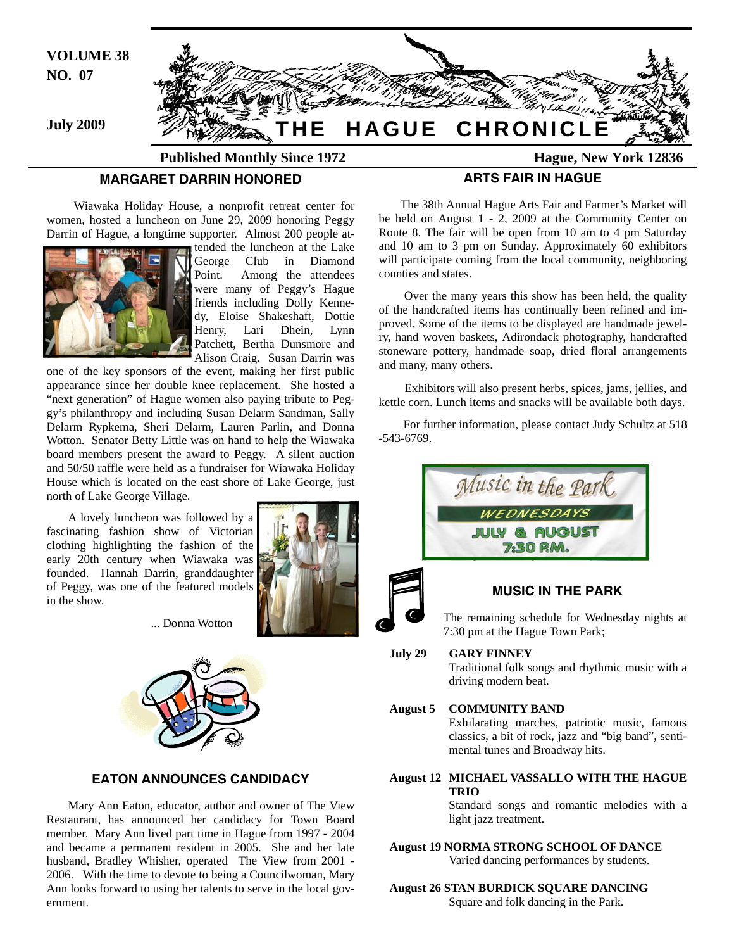

 Wiawaka Holiday House, a nonprofit retreat center for women, hosted a luncheon on June 29, 2009 honoring Peggy Darrin of Hague, a longtime supporter. Almost 200 people at-



tended the luncheon at the Lake George Club in Diamond Point. Among the attendees were many of Peggy's Hague friends including Dolly Kennedy, Eloise Shakeshaft, Dottie Henry, Lari Dhein, Lynn Patchett, Bertha Dunsmore and Alison Craig. Susan Darrin was

one of the key sponsors of the event, making her first public appearance since her double knee replacement. She hosted a "next generation" of Hague women also paying tribute to Peggy's philanthropy and including Susan Delarm Sandman, Sally Delarm Rypkema, Sheri Delarm, Lauren Parlin, and Donna Wotton. Senator Betty Little was on hand to help the Wiawaka board members present the award to Peggy. A silent auction and 50/50 raffle were held as a fundraiser for Wiawaka Holiday House which is located on the east shore of Lake George, just north of Lake George Village.

A lovely luncheon was followed by a fascinating fashion show of Victorian clothing highlighting the fashion of the early 20th century when Wiawaka was founded. Hannah Darrin, granddaughter of Peggy, was one of the featured models in the show.



... Donna Wotton



# **EATON ANNOUNCES CANDIDACY**

Mary Ann Eaton, educator, author and owner of The View Restaurant, has announced her candidacy for Town Board member. Mary Ann lived part time in Hague from 1997 - 2004 and became a permanent resident in 2005. She and her late husband, Bradley Whisher, operated The View from 2001 - 2006. With the time to devote to being a Councilwoman, Mary Ann looks forward to using her talents to serve in the local government.

The 38th Annual Hague Arts Fair and Farmer's Market will be held on August 1 - 2, 2009 at the Community Center on Route 8. The fair will be open from 10 am to 4 pm Saturday and 10 am to 3 pm on Sunday. Approximately 60 exhibitors will participate coming from the local community, neighboring counties and states.

 Over the many years this show has been held, the quality of the handcrafted items has continually been refined and improved. Some of the items to be displayed are handmade jewelry, hand woven baskets, Adirondack photography, handcrafted stoneware pottery, handmade soap, dried floral arrangements and many, many others.

Exhibitors will also present herbs, spices, jams, jellies, and kettle corn. Lunch items and snacks will be available both days.

 For further information, please contact Judy Schultz at 518 -543-6769.



# **MUSIC IN THE PARK**

 The remaining schedule for Wednesday nights at 7:30 pm at the Hague Town Park;

#### **July 29 GARY FINNEY**

 Traditional folk songs and rhythmic music with a driving modern beat.

#### **August 5 COMMUNITY BAND**

 Exhilarating marches, patriotic music, famous classics, a bit of rock, jazz and "big band", senti mental tunes and Broadway hits.

# **August 12 MICHAEL VASSALLO WITH THE HAGUE TRIO**

 Standard songs and romantic melodies with a light jazz treatment.

**August 19 NORMA STRONG SCHOOL OF DANCE**  Varied dancing performances by students.

**August 26 STAN BURDICK SQUARE DANCING**  Square and folk dancing in the Park.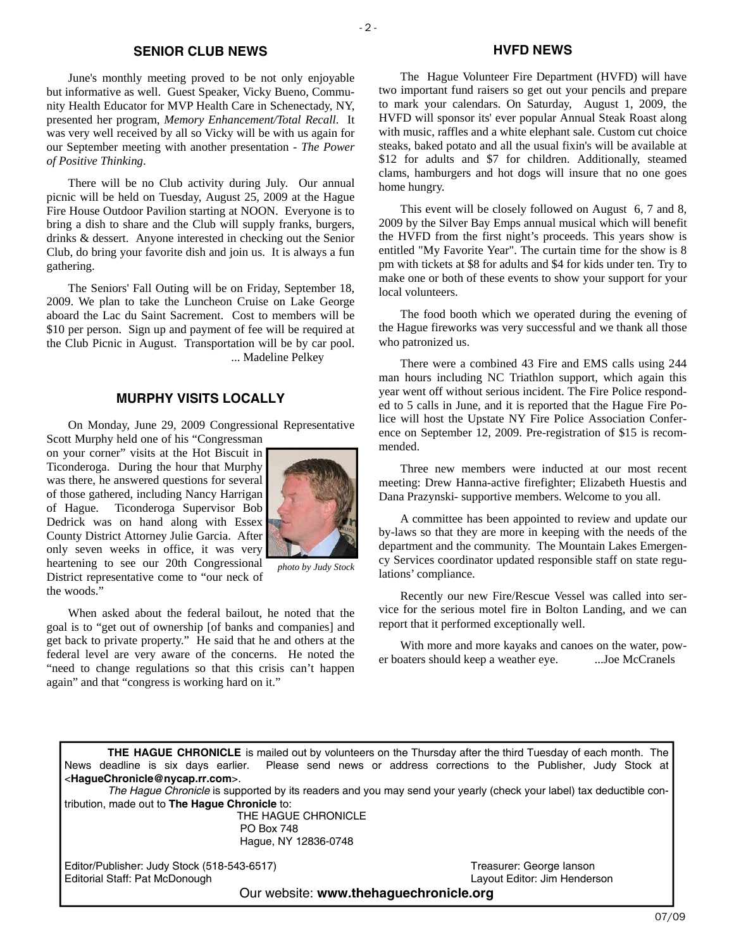#### **SENIOR CLUB NEWS**

June's monthly meeting proved to be not only enjoyable but informative as well. Guest Speaker, Vicky Bueno, Community Health Educator for MVP Health Care in Schenectady, NY, presented her program, *Memory Enhancement/Total Recall*. It was very well received by all so Vicky will be with us again for our September meeting with another presentation - *The Power of Positive Thinking*.

There will be no Club activity during July. Our annual picnic will be held on Tuesday, August 25, 2009 at the Hague Fire House Outdoor Pavilion starting at NOON. Everyone is to bring a dish to share and the Club will supply franks, burgers, drinks & dessert. Anyone interested in checking out the Senior Club, do bring your favorite dish and join us. It is always a fun gathering.

The Seniors' Fall Outing will be on Friday, September 18, 2009. We plan to take the Luncheon Cruise on Lake George aboard the Lac du Saint Sacrement. Cost to members will be \$10 per person. Sign up and payment of fee will be required at the Club Picnic in August. Transportation will be by car pool. ... Madeline Pelkey

# **MURPHY VISITS LOCALLY**

On Monday, June 29, 2009 Congressional Representative

Scott Murphy held one of his "Congressman on your corner" visits at the Hot Biscuit in Ticonderoga. During the hour that Murphy was there, he answered questions for several of those gathered, including Nancy Harrigan of Hague. Ticonderoga Supervisor Bob Dedrick was on hand along with Essex County District Attorney Julie Garcia. After only seven weeks in office, it was very heartening to see our 20th Congressional District representative come to "our neck of

the woods."



*photo by Judy Stock* 

When asked about the federal bailout, he noted that the goal is to "get out of ownership [of banks and companies] and get back to private property." He said that he and others at the federal level are very aware of the concerns. He noted the "need to change regulations so that this crisis can't happen again" and that "congress is working hard on it."

#### **HVFD NEWS**

The Hague Volunteer Fire Department (HVFD) will have two important fund raisers so get out your pencils and prepare to mark your calendars. On Saturday, August 1, 2009, the HVFD will sponsor its' ever popular Annual Steak Roast along with music, raffles and a white elephant sale. Custom cut choice steaks, baked potato and all the usual fixin's will be available at \$12 for adults and \$7 for children. Additionally, steamed clams, hamburgers and hot dogs will insure that no one goes home hungry.

This event will be closely followed on August 6, 7 and 8, 2009 by the Silver Bay Emps annual musical which will benefit the HVFD from the first night's proceeds. This years show is entitled "My Favorite Year". The curtain time for the show is 8 pm with tickets at \$8 for adults and \$4 for kids under ten. Try to make one or both of these events to show your support for your local volunteers.

The food booth which we operated during the evening of the Hague fireworks was very successful and we thank all those who patronized us.

There were a combined 43 Fire and EMS calls using 244 man hours including NC Triathlon support, which again this year went off without serious incident. The Fire Police responded to 5 calls in June, and it is reported that the Hague Fire Police will host the Upstate NY Fire Police Association Conference on September 12, 2009. Pre-registration of \$15 is recommended.

Three new members were inducted at our most recent meeting: Drew Hanna-active firefighter; Elizabeth Huestis and Dana Prazynski- supportive members. Welcome to you all.

A committee has been appointed to review and update our by-laws so that they are more in keeping with the needs of the department and the community. The Mountain Lakes Emergency Services coordinator updated responsible staff on state regulations' compliance.

Recently our new Fire/Rescue Vessel was called into service for the serious motel fire in Bolton Landing, and we can report that it performed exceptionally well.

With more and more kayaks and canoes on the water, power boaters should keep a weather eye. ...Joe McCranels

**THE HAGUE CHRONICLE** is mailed out by volunteers on the Thursday after the third Tuesday of each month. The News deadline is six days earlier. Please send news or address corrections to the Publisher, Judy Stock at <**HagueChronicle@nycap.rr.com**>.

*The Hague Chronicle* is supported by its readers and you may send your yearly (check your label) tax deductible contribution, made out to **The Hague Chronicle** to:

> THE HAGUE CHRONICLE PO Box 748 Hague, NY 12836-0748

Editor/Publisher: Judy Stock (518-543-6517)<br>
Editorial Staff: Pat McDonough 
Statiorial Staff: Pat McDonough 
Teasurer: Jim Henderson Editorial Staff: Pat McDonough

Our website: **www.thehaguechronicle.org**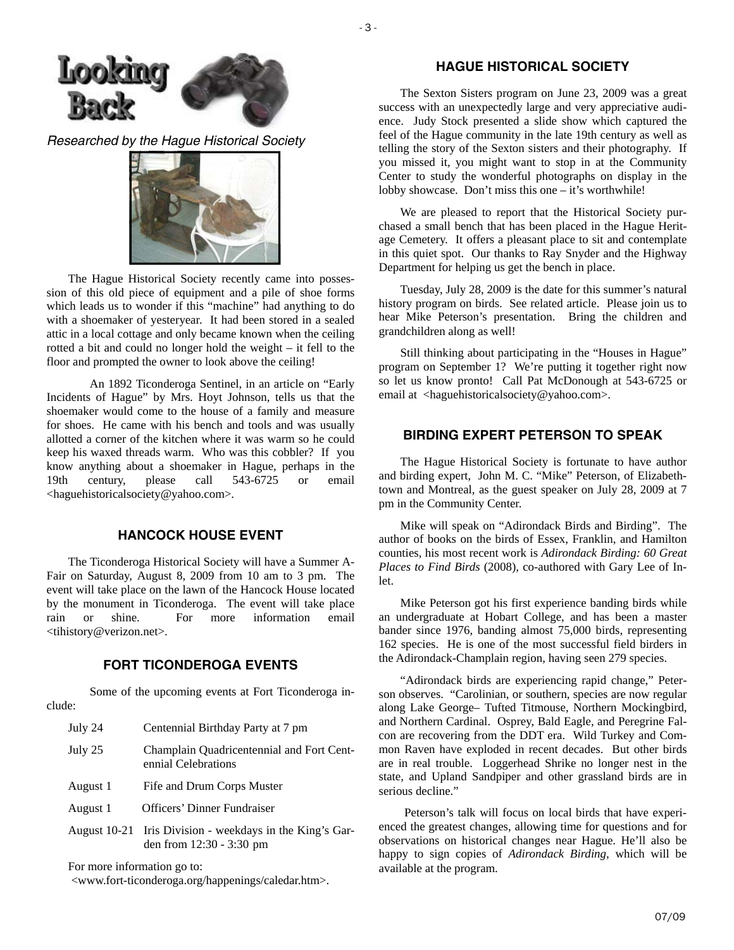

*Researched by the Hague Historical Society* 



The Hague Historical Society recently came into possession of this old piece of equipment and a pile of shoe forms which leads us to wonder if this "machine" had anything to do with a shoemaker of yesteryear. It had been stored in a sealed attic in a local cottage and only became known when the ceiling rotted a bit and could no longer hold the weight – it fell to the floor and prompted the owner to look above the ceiling!

 An 1892 Ticonderoga Sentinel, in an article on "Early Incidents of Hague" by Mrs. Hoyt Johnson, tells us that the shoemaker would come to the house of a family and measure for shoes. He came with his bench and tools and was usually allotted a corner of the kitchen where it was warm so he could keep his waxed threads warm. Who was this cobbler? If you know anything about a shoemaker in Hague, perhaps in the 19th century, please call 543-6725 or email <haguehistoricalsociety@yahoo.com>.

# **HANCOCK HOUSE EVENT**

The Ticonderoga Historical Society will have a Summer A-Fair on Saturday, August 8, 2009 from 10 am to 3 pm. The event will take place on the lawn of the Hancock House located by the monument in Ticonderoga. The event will take place rain or shine. For more information email <tihistory@verizon.net>.

# **FORT TICONDEROGA EVENTS**

 Some of the upcoming events at Fort Ticonderoga include:

- July 24 Centennial Birthday Party at 7 pm
- July 25 Champlain Quadricentennial and Fort Cent ennial Celebrations
- August 1 Fife and Drum Corps Muster
- August 1 Officers' Dinner Fundraiser
- August 10-21 Iris Division weekdays in the King's Gar den from 12:30 - 3:30 pm

For more information go to:

<www.fort-ticonderoga.org/happenings/caledar.htm>.

# **HAGUE HISTORICAL SOCIETY**

The Sexton Sisters program on June 23, 2009 was a great success with an unexpectedly large and very appreciative audience. Judy Stock presented a slide show which captured the feel of the Hague community in the late 19th century as well as telling the story of the Sexton sisters and their photography. If you missed it, you might want to stop in at the Community Center to study the wonderful photographs on display in the lobby showcase. Don't miss this one – it's worthwhile!

We are pleased to report that the Historical Society purchased a small bench that has been placed in the Hague Heritage Cemetery. It offers a pleasant place to sit and contemplate in this quiet spot. Our thanks to Ray Snyder and the Highway Department for helping us get the bench in place.

Tuesday, July 28, 2009 is the date for this summer's natural history program on birds. See related article. Please join us to hear Mike Peterson's presentation. Bring the children and grandchildren along as well!

Still thinking about participating in the "Houses in Hague" program on September 1? We're putting it together right now so let us know pronto! Call Pat McDonough at 543-6725 or email at <haguehistoricalsociety@yahoo.com>.

# **BIRDING EXPERT PETERSON TO SPEAK**

The Hague Historical Society is fortunate to have author and birding expert, John M. C. "Mike" Peterson, of Elizabethtown and Montreal, as the guest speaker on July 28, 2009 at 7 pm in the Community Center.

Mike will speak on "Adirondack Birds and Birding". The author of books on the birds of Essex, Franklin, and Hamilton counties, his most recent work is *Adirondack Birding: 60 Great Places to Find Birds* (2008)*,* co-authored with Gary Lee of Inlet.

Mike Peterson got his first experience banding birds while an undergraduate at Hobart College, and has been a master bander since 1976, banding almost 75,000 birds, representing 162 species. He is one of the most successful field birders in the Adirondack-Champlain region, having seen 279 species.

"Adirondack birds are experiencing rapid change," Peterson observes. "Carolinian, or southern, species are now regular along Lake George– Tufted Titmouse, Northern Mockingbird, and Northern Cardinal. Osprey, Bald Eagle, and Peregrine Falcon are recovering from the DDT era. Wild Turkey and Common Raven have exploded in recent decades. But other birds are in real trouble. Loggerhead Shrike no longer nest in the state, and Upland Sandpiper and other grassland birds are in serious decline."

 Peterson's talk will focus on local birds that have experienced the greatest changes, allowing time for questions and for observations on historical changes near Hague. He'll also be happy to sign copies of *Adirondack Birding,* which will be available at the program.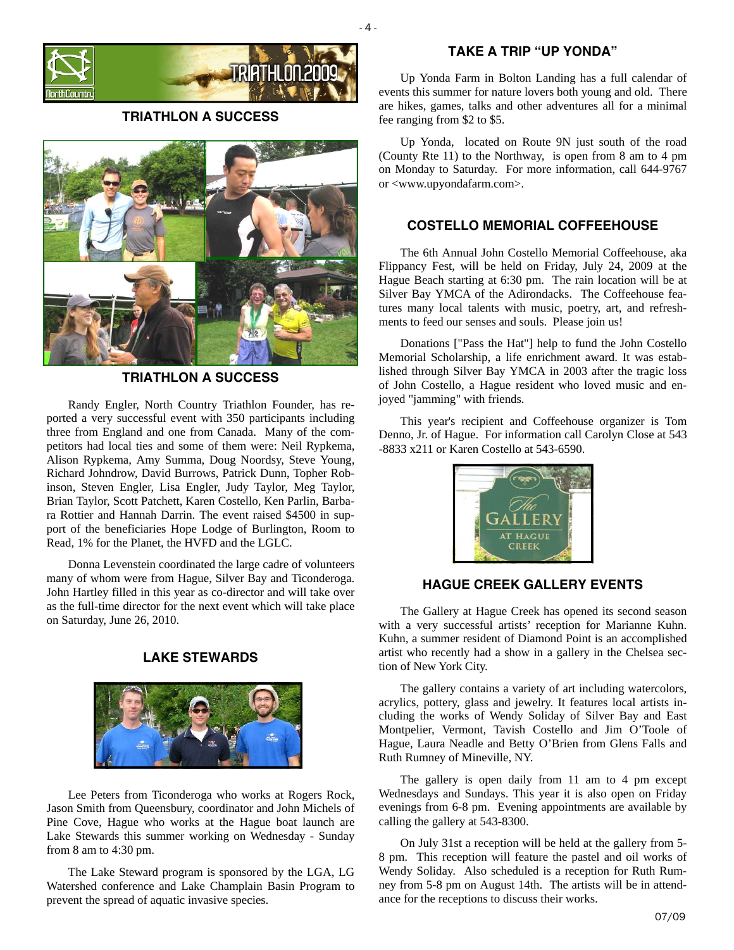

**TRIATHLON A SUCCESS**



**TRIATHLON A SUCCESS** 

Randy Engler, North Country Triathlon Founder, has reported a very successful event with 350 participants including three from England and one from Canada. Many of the competitors had local ties and some of them were: Neil Rypkema, Alison Rypkema, Amy Summa, Doug Noordsy, Steve Young, Richard Johndrow, David Burrows, Patrick Dunn, Topher Robinson, Steven Engler, Lisa Engler, Judy Taylor, Meg Taylor, Brian Taylor, Scott Patchett, Karen Costello, Ken Parlin, Barbara Rottier and Hannah Darrin. The event raised \$4500 in support of the beneficiaries Hope Lodge of Burlington, Room to Read, 1% for the Planet, the HVFD and the LGLC.

Donna Levenstein coordinated the large cadre of volunteers many of whom were from Hague, Silver Bay and Ticonderoga. John Hartley filled in this year as co-director and will take over as the full-time director for the next event which will take place on Saturday, June 26, 2010.

# **LAKE STEWARDS**



Lee Peters from Ticonderoga who works at Rogers Rock, Jason Smith from Queensbury, coordinator and John Michels of Pine Cove, Hague who works at the Hague boat launch are Lake Stewards this summer working on Wednesday - Sunday from 8 am to 4:30 pm.

The Lake Steward program is sponsored by the LGA, LG Watershed conference and Lake Champlain Basin Program to prevent the spread of aquatic invasive species.

### **TAKE A TRIP "UP YONDA"**

Up Yonda Farm in Bolton Landing has a full calendar of events this summer for nature lovers both young and old. There are hikes, games, talks and other adventures all for a minimal fee ranging from \$2 to \$5.

Up Yonda, located on Route 9N just south of the road (County Rte 11) to the Northway, is open from 8 am to 4 pm on Monday to Saturday. For more information, call 644-9767 or <www.upyondafarm.com>.

# **COSTELLO MEMORIAL COFFEEHOUSE**

The 6th Annual John Costello Memorial Coffeehouse, aka Flippancy Fest, will be held on Friday, July 24, 2009 at the Hague Beach starting at 6:30 pm. The rain location will be at Silver Bay YMCA of the Adirondacks. The Coffeehouse features many local talents with music, poetry, art, and refreshments to feed our senses and souls. Please join us!

Donations ["Pass the Hat"] help to fund the John Costello Memorial Scholarship, a life enrichment award. It was established through Silver Bay YMCA in 2003 after the tragic loss of John Costello, a Hague resident who loved music and enjoyed "jamming" with friends.

This year's recipient and Coffeehouse organizer is Tom Denno, Jr. of Hague. For information call Carolyn Close at 543 -8833 x211 or Karen Costello at 543-6590.



# **HAGUE CREEK GALLERY EVENTS**

The Gallery at Hague Creek has opened its second season with a very successful artists' reception for Marianne Kuhn. Kuhn, a summer resident of Diamond Point is an accomplished artist who recently had a show in a gallery in the Chelsea section of New York City.

The gallery contains a variety of art including watercolors, acrylics, pottery, glass and jewelry. It features local artists including the works of Wendy Soliday of Silver Bay and East Montpelier, Vermont, Tavish Costello and Jim O'Toole of Hague, Laura Neadle and Betty O'Brien from Glens Falls and Ruth Rumney of Mineville, NY.

The gallery is open daily from 11 am to 4 pm except Wednesdays and Sundays. This year it is also open on Friday evenings from 6-8 pm. Evening appointments are available by calling the gallery at 543-8300.

On July 31st a reception will be held at the gallery from 5- 8 pm. This reception will feature the pastel and oil works of Wendy Soliday. Also scheduled is a reception for Ruth Rumney from 5-8 pm on August 14th. The artists will be in attendance for the receptions to discuss their works.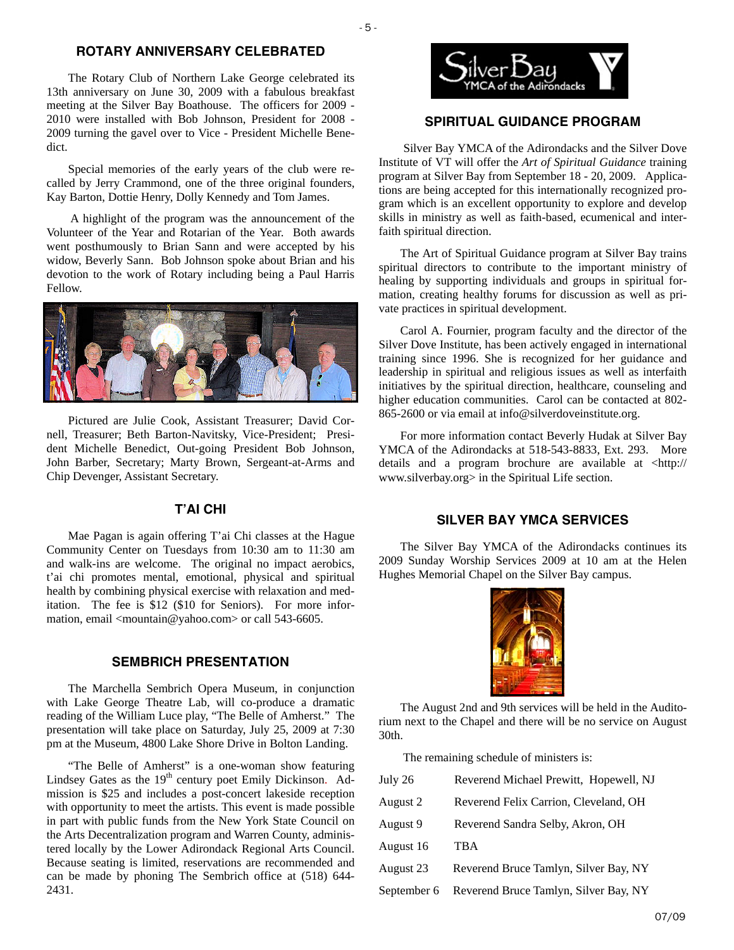## **ROTARY ANNIVERSARY CELEBRATED**

The Rotary Club of Northern Lake George celebrated its 13th anniversary on June 30, 2009 with a fabulous breakfast meeting at the Silver Bay Boathouse. The officers for 2009 - 2010 were installed with Bob Johnson, President for 2008 - 2009 turning the gavel over to Vice - President Michelle Benedict.

Special memories of the early years of the club were recalled by Jerry Crammond, one of the three original founders, Kay Barton, Dottie Henry, Dolly Kennedy and Tom James.

 A highlight of the program was the announcement of the Volunteer of the Year and Rotarian of the Year. Both awards went posthumously to Brian Sann and were accepted by his widow, Beverly Sann. Bob Johnson spoke about Brian and his devotion to the work of Rotary including being a Paul Harris Fellow.



Pictured are Julie Cook, Assistant Treasurer; David Cornell, Treasurer; Beth Barton-Navitsky, Vice-President; President Michelle Benedict, Out-going President Bob Johnson, John Barber, Secretary; Marty Brown, Sergeant-at-Arms and Chip Devenger, Assistant Secretary.

# **T'AI CHI**

Mae Pagan is again offering T'ai Chi classes at the Hague Community Center on Tuesdays from 10:30 am to 11:30 am and walk-ins are welcome. The original no impact aerobics, t'ai chi promotes mental, emotional, physical and spiritual health by combining physical exercise with relaxation and meditation. The fee is \$12 (\$10 for Seniors). For more information, email <mountain@yahoo.com> or call 543-6605.

### **SEMBRICH PRESENTATION**

The Marchella Sembrich Opera Museum, in conjunction with Lake George Theatre Lab, will co-produce a dramatic reading of the William Luce play, "The Belle of Amherst." The presentation will take place on Saturday, July 25, 2009 at 7:30 pm at the Museum, 4800 Lake Shore Drive in Bolton Landing.

"The Belle of Amherst" is a one-woman show featuring Lindsey Gates as the 19<sup>th</sup> century poet Emily Dickinson. Admission is \$25 and includes a post-concert lakeside reception with opportunity to meet the artists. This event is made possible in part with public funds from the New York State Council on the Arts Decentralization program and Warren County, administered locally by the Lower Adirondack Regional Arts Council. Because seating is limited, reservations are recommended and can be made by phoning The Sembrich office at (518) 644- 2431.



# **SPIRITUAL GUIDANCE PROGRAM**

 Silver Bay YMCA of the Adirondacks and the Silver Dove Institute of VT will offer the *Art of Spiritual Guidance* training program at Silver Bay from September 18 - 20, 2009. Applications are being accepted for this internationally recognized program which is an excellent opportunity to explore and develop skills in ministry as well as faith-based, ecumenical and interfaith spiritual direction.

The Art of Spiritual Guidance program at Silver Bay trains spiritual directors to contribute to the important ministry of healing by supporting individuals and groups in spiritual formation, creating healthy forums for discussion as well as private practices in spiritual development.

Carol A. Fournier, program faculty and the director of the Silver Dove Institute, has been actively engaged in international training since 1996. She is recognized for her guidance and leadership in spiritual and religious issues as well as interfaith initiatives by the spiritual direction, healthcare, counseling and higher education communities. Carol can be contacted at 802- 865-2600 or via email at info@silverdoveinstitute.org.

For more information contact Beverly Hudak at Silver Bay YMCA of the Adirondacks at 518-543-8833, Ext. 293. More details and a program brochure are available at <http:// www.silverbay.org> in the Spiritual Life section.

#### **SILVER BAY YMCA SERVICES**

The Silver Bay YMCA of the Adirondacks continues its 2009 Sunday Worship Services 2009 at 10 am at the Helen Hughes Memorial Chapel on the Silver Bay campus.



The August 2nd and 9th services will be held in the Auditorium next to the Chapel and there will be no service on August 30th.

The remaining schedule of ministers is:

| July 26     | Reverend Michael Prewitt, Hopewell, NJ |
|-------------|----------------------------------------|
| August 2    | Reverend Felix Carrion, Cleveland, OH  |
| August 9    | Reverend Sandra Selby, Akron, OH       |
| August 16   | <b>TBA</b>                             |
| August 23   | Reverend Bruce Tamlyn, Silver Bay, NY  |
| September 6 | Reverend Bruce Tamlyn, Silver Bay, NY  |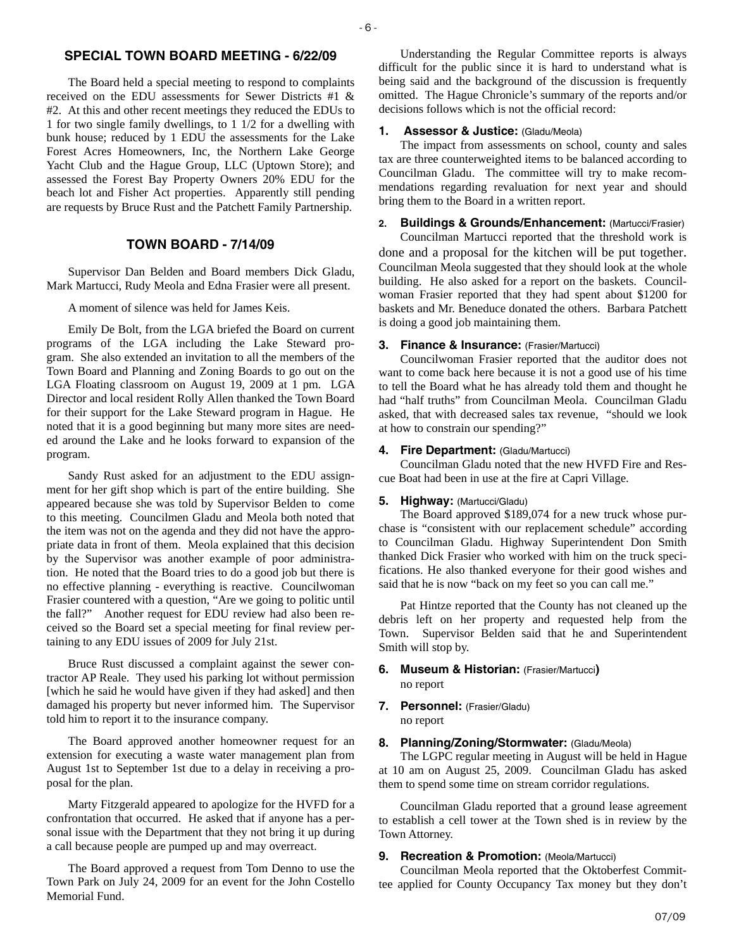# **SPECIAL TOWN BOARD MEETING - 6/22/09**

The Board held a special meeting to respond to complaints received on the EDU assessments for Sewer Districts #1 & #2. At this and other recent meetings they reduced the EDUs to 1 for two single family dwellings, to 1 1/2 for a dwelling with bunk house; reduced by 1 EDU the assessments for the Lake Forest Acres Homeowners, Inc, the Northern Lake George Yacht Club and the Hague Group, LLC (Uptown Store); and assessed the Forest Bay Property Owners 20% EDU for the beach lot and Fisher Act properties. Apparently still pending are requests by Bruce Rust and the Patchett Family Partnership.

# **TOWN BOARD - 7/14/09**

Supervisor Dan Belden and Board members Dick Gladu, Mark Martucci, Rudy Meola and Edna Frasier were all present.

A moment of silence was held for James Keis.

Emily De Bolt, from the LGA briefed the Board on current programs of the LGA including the Lake Steward program. She also extended an invitation to all the members of the Town Board and Planning and Zoning Boards to go out on the LGA Floating classroom on August 19, 2009 at 1 pm. LGA Director and local resident Rolly Allen thanked the Town Board for their support for the Lake Steward program in Hague. He noted that it is a good beginning but many more sites are needed around the Lake and he looks forward to expansion of the program.

Sandy Rust asked for an adjustment to the EDU assignment for her gift shop which is part of the entire building. She appeared because she was told by Supervisor Belden to come to this meeting. Councilmen Gladu and Meola both noted that the item was not on the agenda and they did not have the appropriate data in front of them. Meola explained that this decision by the Supervisor was another example of poor administration. He noted that the Board tries to do a good job but there is no effective planning - everything is reactive. Councilwoman Frasier countered with a question, "Are we going to politic until the fall?" Another request for EDU review had also been received so the Board set a special meeting for final review pertaining to any EDU issues of 2009 for July 21st.

Bruce Rust discussed a complaint against the sewer contractor AP Reale. They used his parking lot without permission [which he said he would have given if they had asked] and then damaged his property but never informed him. The Supervisor told him to report it to the insurance company.

The Board approved another homeowner request for an extension for executing a waste water management plan from August 1st to September 1st due to a delay in receiving a proposal for the plan.

Marty Fitzgerald appeared to apologize for the HVFD for a confrontation that occurred. He asked that if anyone has a personal issue with the Department that they not bring it up during a call because people are pumped up and may overreact.

The Board approved a request from Tom Denno to use the Town Park on July 24, 2009 for an event for the John Costello Memorial Fund.

Understanding the Regular Committee reports is always difficult for the public since it is hard to understand what is being said and the background of the discussion is frequently omitted. The Hague Chronicle's summary of the reports and/or decisions follows which is not the official record:

### **1. Assessor & Justice:** (Gladu/Meola)

The impact from assessments on school, county and sales tax are three counterweighted items to be balanced according to Councilman Gladu. The committee will try to make recommendations regarding revaluation for next year and should bring them to the Board in a written report.

**2. Buildings & Grounds/Enhancement:** (Martucci/Frasier)

Councilman Martucci reported that the threshold work is done and a proposal for the kitchen will be put together. Councilman Meola suggested that they should look at the whole building. He also asked for a report on the baskets. Councilwoman Frasier reported that they had spent about \$1200 for baskets and Mr. Beneduce donated the others. Barbara Patchett is doing a good job maintaining them.

#### **3. Finance & Insurance:** (Frasier/Martucci)

Councilwoman Frasier reported that the auditor does not want to come back here because it is not a good use of his time to tell the Board what he has already told them and thought he had "half truths" from Councilman Meola. Councilman Gladu asked, that with decreased sales tax revenue, "should we look at how to constrain our spending?"

#### **4. Fire Department: (Gladu/Martucci)**

Councilman Gladu noted that the new HVFD Fire and Rescue Boat had been in use at the fire at Capri Village.

#### **5. Highway:** (Martucci/Gladu)

The Board approved \$189,074 for a new truck whose purchase is "consistent with our replacement schedule" according to Councilman Gladu. Highway Superintendent Don Smith thanked Dick Frasier who worked with him on the truck specifications. He also thanked everyone for their good wishes and said that he is now "back on my feet so you can call me."

Pat Hintze reported that the County has not cleaned up the debris left on her property and requested help from the Town. Supervisor Belden said that he and Superintendent Smith will stop by.

# **6. Museum & Historian:** (Frasier/Martucci**)**  no report

**7. Personnel:** (Frasier/Gladu) no report

### **8. Planning/Zoning/Stormwater:** (Gladu/Meola)

The LGPC regular meeting in August will be held in Hague at 10 am on August 25, 2009. Councilman Gladu has asked them to spend some time on stream corridor regulations.

Councilman Gladu reported that a ground lease agreement to establish a cell tower at the Town shed is in review by the Town Attorney.

### **9. Recreation & Promotion: (Meola/Martucci)**

Councilman Meola reported that the Oktoberfest Committee applied for County Occupancy Tax money but they don't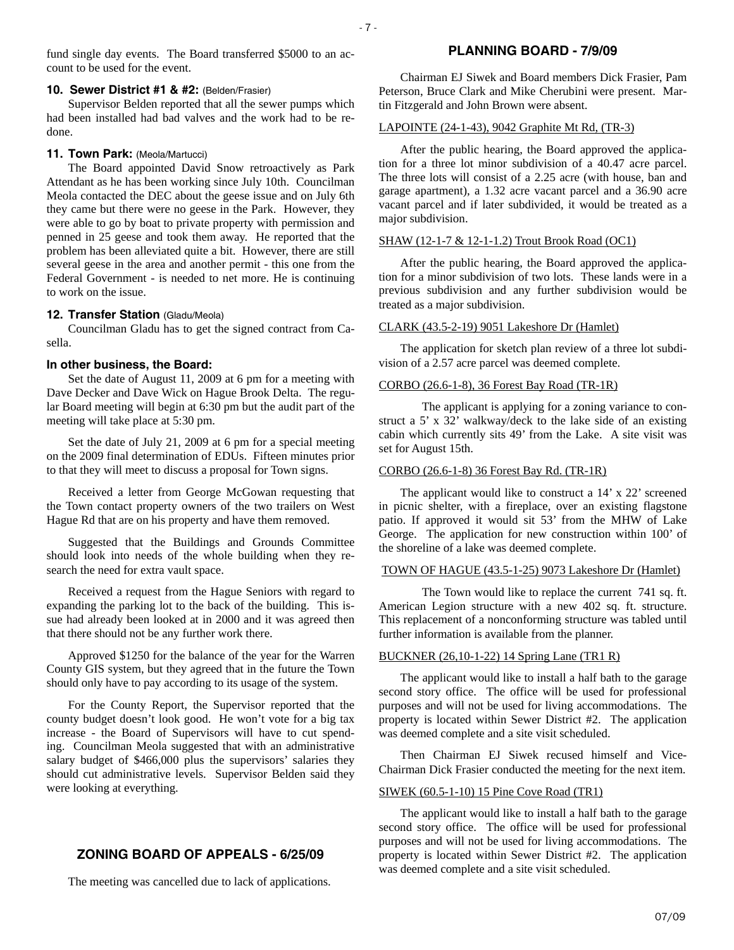fund single day events. The Board transferred \$5000 to an account to be used for the event.

### **10. Sewer District #1 & #2:** (Belden/Frasier)

Supervisor Belden reported that all the sewer pumps which had been installed had bad valves and the work had to be redone.

### **11. Town Park:** (Meola/Martucci)

The Board appointed David Snow retroactively as Park Attendant as he has been working since July 10th. Councilman Meola contacted the DEC about the geese issue and on July 6th they came but there were no geese in the Park. However, they were able to go by boat to private property with permission and penned in 25 geese and took them away. He reported that the problem has been alleviated quite a bit. However, there are still several geese in the area and another permit - this one from the Federal Government - is needed to net more. He is continuing to work on the issue.

# 12. Transfer Station (Gladu/Meola)

Councilman Gladu has to get the signed contract from Casella.

### **In other business, the Board:**

Set the date of August 11, 2009 at 6 pm for a meeting with Dave Decker and Dave Wick on Hague Brook Delta. The regular Board meeting will begin at 6:30 pm but the audit part of the meeting will take place at 5:30 pm.

Set the date of July 21, 2009 at 6 pm for a special meeting on the 2009 final determination of EDUs. Fifteen minutes prior to that they will meet to discuss a proposal for Town signs.

Received a letter from George McGowan requesting that the Town contact property owners of the two trailers on West Hague Rd that are on his property and have them removed.

Suggested that the Buildings and Grounds Committee should look into needs of the whole building when they research the need for extra vault space.

Received a request from the Hague Seniors with regard to expanding the parking lot to the back of the building. This issue had already been looked at in 2000 and it was agreed then that there should not be any further work there.

Approved \$1250 for the balance of the year for the Warren County GIS system, but they agreed that in the future the Town should only have to pay according to its usage of the system.

For the County Report, the Supervisor reported that the county budget doesn't look good. He won't vote for a big tax increase - the Board of Supervisors will have to cut spending. Councilman Meola suggested that with an administrative salary budget of \$466,000 plus the supervisors' salaries they should cut administrative levels. Supervisor Belden said they were looking at everything.

# **ZONING BOARD OF APPEALS - 6/25/09**

The meeting was cancelled due to lack of applications.

# **PLANNING BOARD - 7/9/09**

Chairman EJ Siwek and Board members Dick Frasier, Pam Peterson, Bruce Clark and Mike Cherubini were present. Martin Fitzgerald and John Brown were absent.

### LAPOINTE (24-1-43), 9042 Graphite Mt Rd, (TR-3)

After the public hearing, the Board approved the application for a three lot minor subdivision of a 40.47 acre parcel. The three lots will consist of a 2.25 acre (with house, ban and garage apartment), a 1.32 acre vacant parcel and a 36.90 acre vacant parcel and if later subdivided, it would be treated as a major subdivision.

### SHAW (12-1-7 & 12-1-1.2) Trout Brook Road (OC1)

After the public hearing, the Board approved the application for a minor subdivision of two lots. These lands were in a previous subdivision and any further subdivision would be treated as a major subdivision.

#### CLARK (43.5-2-19) 9051 Lakeshore Dr (Hamlet)

The application for sketch plan review of a three lot subdivision of a 2.57 acre parcel was deemed complete.

#### CORBO (26.6-1-8), 36 Forest Bay Road (TR-1R)

 The applicant is applying for a zoning variance to construct a 5' x 32' walkway/deck to the lake side of an existing cabin which currently sits 49' from the Lake. A site visit was set for August 15th.

### CORBO (26.6-1-8) 36 Forest Bay Rd. (TR-1R)

The applicant would like to construct a 14' x 22' screened in picnic shelter, with a fireplace, over an existing flagstone patio. If approved it would sit 53' from the MHW of Lake George. The application for new construction within 100' of the shoreline of a lake was deemed complete.

#### TOWN OF HAGUE (43.5-1-25) 9073 Lakeshore Dr (Hamlet)

 The Town would like to replace the current 741 sq. ft. American Legion structure with a new 402 sq. ft. structure. This replacement of a nonconforming structure was tabled until further information is available from the planner.

#### BUCKNER (26,10-1-22) 14 Spring Lane (TR1 R)

The applicant would like to install a half bath to the garage second story office. The office will be used for professional purposes and will not be used for living accommodations. The property is located within Sewer District #2. The application was deemed complete and a site visit scheduled.

Then Chairman EJ Siwek recused himself and Vice-Chairman Dick Frasier conducted the meeting for the next item.

# SIWEK (60.5-1-10) 15 Pine Cove Road (TR1)

The applicant would like to install a half bath to the garage second story office. The office will be used for professional purposes and will not be used for living accommodations. The property is located within Sewer District #2. The application was deemed complete and a site visit scheduled.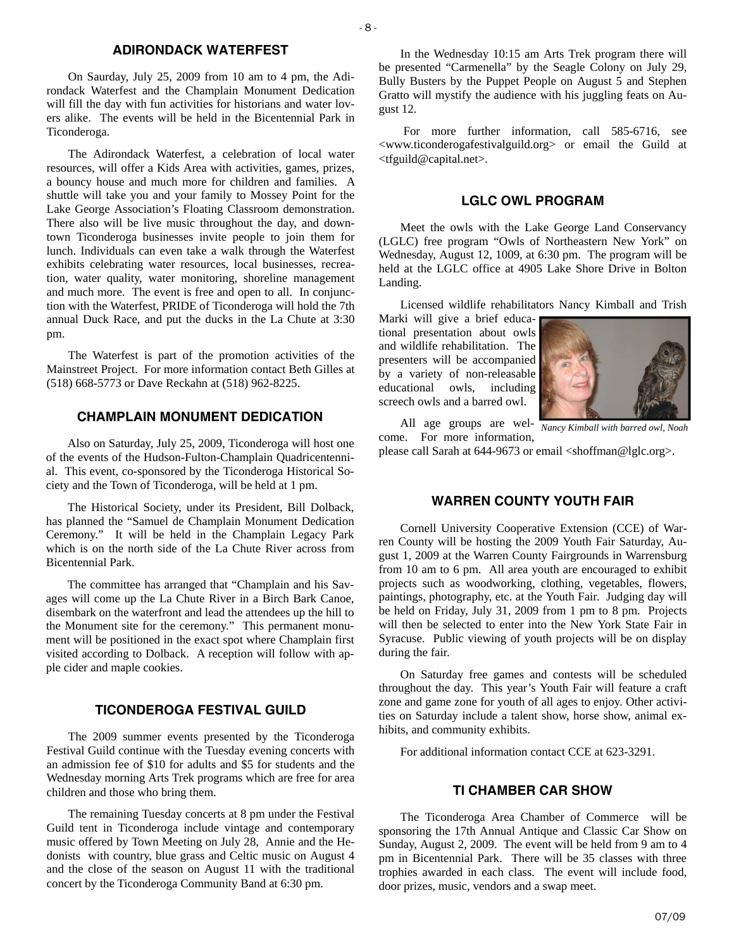#### **ADIRONDACK WATERFEST**

On Saurday, July 25, 2009 from 10 am to 4 pm, the Adirondack Waterfest and the Champlain Monument Dedication will fill the day with fun activities for historians and water lovers alike. The events will be held in the Bicentennial Park in Ticonderoga.

The Adirondack Waterfest, a celebration of local water resources, will offer a Kids Area with activities, games, prizes, a bouncy house and much more for children and families. A shuttle will take you and your family to Mossey Point for the Lake George Association's Floating Classroom demonstration. There also will be live music throughout the day, and downtown Ticonderoga businesses invite people to join them for lunch. Individuals can even take a walk through the Waterfest exhibits celebrating water resources, local businesses, recreation, water quality, water monitoring, shoreline management and much more. The event is free and open to all. In conjunction with the Waterfest, PRIDE of Ticonderoga will hold the 7th annual Duck Race, and put the ducks in the La Chute at 3:30 pm.

The Waterfest is part of the promotion activities of the Mainstreet Project. For more information contact Beth Gilles at (518) 668-5773 or Dave Reckahn at (518) 962-8225.

# **CHAMPLAIN MONUMENT DEDICATION**

Also on Saturday, July 25, 2009, Ticonderoga will host one of the events of the Hudson-Fulton-Champlain Quadricentennial. This event, co-sponsored by the Ticonderoga Historical Society and the Town of Ticonderoga, will be held at 1 pm.

The Historical Society, under its President, Bill Dolback, has planned the "Samuel de Champlain Monument Dedication Ceremony." It will be held in the Champlain Legacy Park which is on the north side of the La Chute River across from Bicentennial Park.

The committee has arranged that "Champlain and his Savages will come up the La Chute River in a Birch Bark Canoe, disembark on the waterfront and lead the attendees up the hill to the Monument site for the ceremony." This permanent monument will be positioned in the exact spot where Champlain first visited according to Dolback. A reception will follow with apple cider and maple cookies.

### **TICONDEROGA FESTIVAL GUILD**

The 2009 summer events presented by the Ticonderoga Festival Guild continue with the Tuesday evening concerts with an admission fee of \$10 for adults and \$5 for students and the Wednesday morning Arts Trek programs which are free for area children and those who bring them.

The remaining Tuesday concerts at 8 pm under the Festival Guild tent in Ticonderoga include vintage and contemporary music offered by Town Meeting on July 28, Annie and the Hedonists with country, blue grass and Celtic music on August 4 and the close of the season on August 11 with the traditional concert by the Ticonderoga Community Band at 6:30 pm.

In the Wednesday 10:15 am Arts Trek program there will be presented "Carmenella" by the Seagle Colony on July 29, Bully Busters by the Puppet People on August 5 and Stephen Gratto will mystify the audience with his juggling feats on August 12.

 For more further information, call 585-6716, see <www.ticonderogafestivalguild.org> or email the Guild at <tfguild@capital.net>.

#### **LGLC OWL PROGRAM**

Meet the owls with the Lake George Land Conservancy (LGLC) free program "Owls of Northeastern New York" on Wednesday, August 12, 1009, at 6:30 pm. The program will be held at the LGLC office at 4905 Lake Shore Drive in Bolton Landing.

Licensed wildlife rehabilitators Nancy Kimball and Trish

Marki will give a brief educational presentation about owls and wildlife rehabilitation. The presenters will be accompanied by a variety of non-releasable educational owls, including screech owls and a barred owl.



All age groups are welcome. For more information, *Nancy Kimball with barred owl, Noah* 

please call Sarah at 644-9673 or email <shoffman@lglc.org>.

# **WARREN COUNTY YOUTH FAIR**

Cornell University Cooperative Extension (CCE) of Warren County will be hosting the 2009 Youth Fair Saturday, August 1, 2009 at the Warren County Fairgrounds in Warrensburg from 10 am to 6 pm. All area youth are encouraged to exhibit projects such as woodworking, clothing, vegetables, flowers, paintings, photography, etc. at the Youth Fair. Judging day will be held on Friday, July 31, 2009 from 1 pm to 8 pm. Projects will then be selected to enter into the New York State Fair in Syracuse. Public viewing of youth projects will be on display during the fair.

On Saturday free games and contests will be scheduled throughout the day. This year's Youth Fair will feature a craft zone and game zone for youth of all ages to enjoy. Other activities on Saturday include a talent show, horse show, animal exhibits, and community exhibits.

For additional information contact CCE at 623-3291.

### **TI CHAMBER CAR SHOW**

The Ticonderoga Area Chamber of Commerce will be sponsoring the 17th Annual Antique and Classic Car Show on Sunday, August 2, 2009. The event will be held from 9 am to 4 pm in Bicentennial Park. There will be 35 classes with three trophies awarded in each class. The event will include food, door prizes, music, vendors and a swap meet.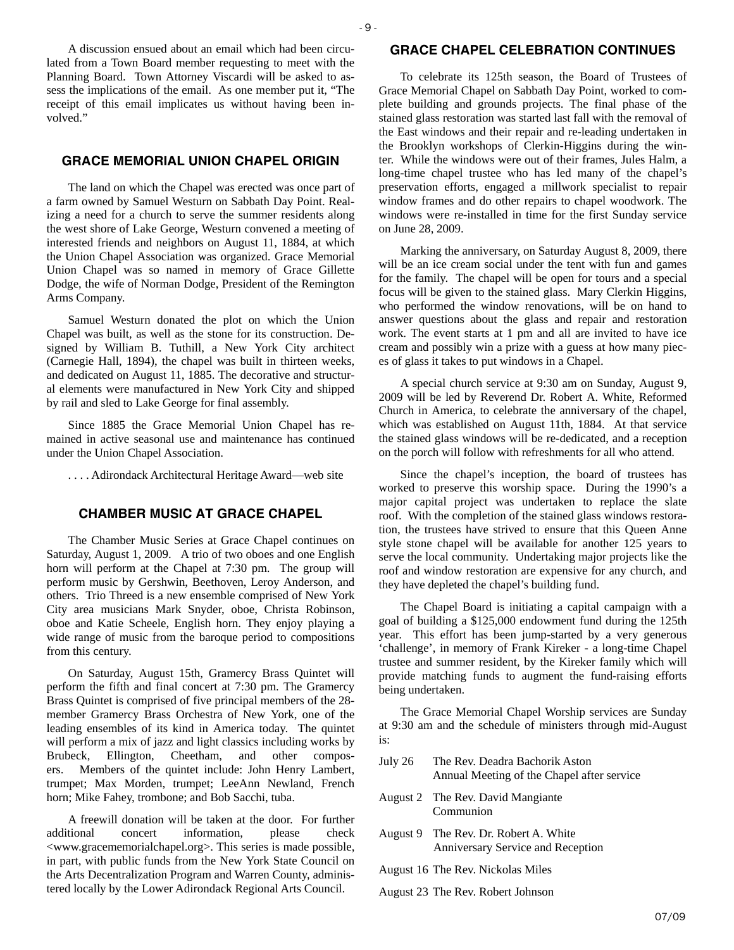A discussion ensued about an email which had been circulated from a Town Board member requesting to meet with the Planning Board. Town Attorney Viscardi will be asked to assess the implications of the email. As one member put it, "The receipt of this email implicates us without having been involved."

# **GRACE MEMORIAL UNION CHAPEL ORIGIN**

The land on which the Chapel was erected was once part of a farm owned by Samuel Westurn on Sabbath Day Point. Realizing a need for a church to serve the summer residents along the west shore of Lake George, Westurn convened a meeting of interested friends and neighbors on August 11, 1884, at which the Union Chapel Association was organized. Grace Memorial Union Chapel was so named in memory of Grace Gillette Dodge, the wife of Norman Dodge, President of the Remington Arms Company.

Samuel Westurn donated the plot on which the Union Chapel was built, as well as the stone for its construction. Designed by William B. Tuthill, a New York City architect (Carnegie Hall, 1894), the chapel was built in thirteen weeks, and dedicated on August 11, 1885. The decorative and structural elements were manufactured in New York City and shipped by rail and sled to Lake George for final assembly.

Since 1885 the Grace Memorial Union Chapel has remained in active seasonal use and maintenance has continued under the Union Chapel Association.

. . . . Adirondack Architectural Heritage Award—web site

# **CHAMBER MUSIC AT GRACE CHAPEL**

The Chamber Music Series at Grace Chapel continues on Saturday, August 1, 2009. A trio of two oboes and one English horn will perform at the Chapel at 7:30 pm. The group will perform music by Gershwin, Beethoven, Leroy Anderson, and others. Trio Threed is a new ensemble comprised of New York City area musicians Mark Snyder, oboe, Christa Robinson, oboe and Katie Scheele, English horn. They enjoy playing a wide range of music from the baroque period to compositions from this century.

On Saturday, August 15th, Gramercy Brass Quintet will perform the fifth and final concert at 7:30 pm. The Gramercy Brass Quintet is comprised of five principal members of the 28 member Gramercy Brass Orchestra of New York, one of the leading ensembles of its kind in America today. The quintet will perform a mix of jazz and light classics including works by Brubeck, Ellington, Cheetham, and other composers. Members of the quintet include: John Henry Lambert, trumpet; Max Morden, trumpet; LeeAnn Newland, French horn; Mike Fahey, trombone; and Bob Sacchi, tuba.

A freewill donation will be taken at the door. For further additional concert information, please check <www.gracememorialchapel.org>. This series is made possible, in part, with public funds from the New York State Council on the Arts Decentralization Program and Warren County, administered locally by the Lower Adirondack Regional Arts Council.

#### **GRACE CHAPEL CELEBRATION CONTINUES**

To celebrate its 125th season, the Board of Trustees of Grace Memorial Chapel on Sabbath Day Point, worked to complete building and grounds projects. The final phase of the stained glass restoration was started last fall with the removal of the East windows and their repair and re-leading undertaken in the Brooklyn workshops of Clerkin-Higgins during the winter. While the windows were out of their frames, Jules Halm, a long-time chapel trustee who has led many of the chapel's preservation efforts, engaged a millwork specialist to repair window frames and do other repairs to chapel woodwork. The windows were re-installed in time for the first Sunday service on June 28, 2009.

Marking the anniversary, on Saturday August 8, 2009, there will be an ice cream social under the tent with fun and games for the family. The chapel will be open for tours and a special focus will be given to the stained glass. Mary Clerkin Higgins, who performed the window renovations, will be on hand to answer questions about the glass and repair and restoration work. The event starts at 1 pm and all are invited to have ice cream and possibly win a prize with a guess at how many pieces of glass it takes to put windows in a Chapel.

A special church service at 9:30 am on Sunday, August 9, 2009 will be led by Reverend Dr. Robert A. White, Reformed Church in America, to celebrate the anniversary of the chapel, which was established on August 11th, 1884. At that service the stained glass windows will be re-dedicated, and a reception on the porch will follow with refreshments for all who attend.

Since the chapel's inception, the board of trustees has worked to preserve this worship space. During the 1990's a major capital project was undertaken to replace the slate roof. With the completion of the stained glass windows restoration, the trustees have strived to ensure that this Queen Anne style stone chapel will be available for another 125 years to serve the local community. Undertaking major projects like the roof and window restoration are expensive for any church, and they have depleted the chapel's building fund.

The Chapel Board is initiating a capital campaign with a goal of building a \$125,000 endowment fund during the 125th year. This effort has been jump-started by a very generous 'challenge', in memory of Frank Kireker - a long-time Chapel trustee and summer resident, by the Kireker family which will provide matching funds to augment the fund-raising efforts being undertaken.

The Grace Memorial Chapel Worship services are Sunday at 9:30 am and the schedule of ministers through mid-August is:

| July 26 | The Rev. Deadra Bachorik Aston             |
|---------|--------------------------------------------|
|         | Annual Meeting of the Chapel after service |

- August 2 The Rev. David Mangiante Communion
- August 9 The Rev. Dr. Robert A. White Anniversary Service and Reception
- August 16 The Rev. Nickolas Miles
- August 23 The Rev. Robert Johnson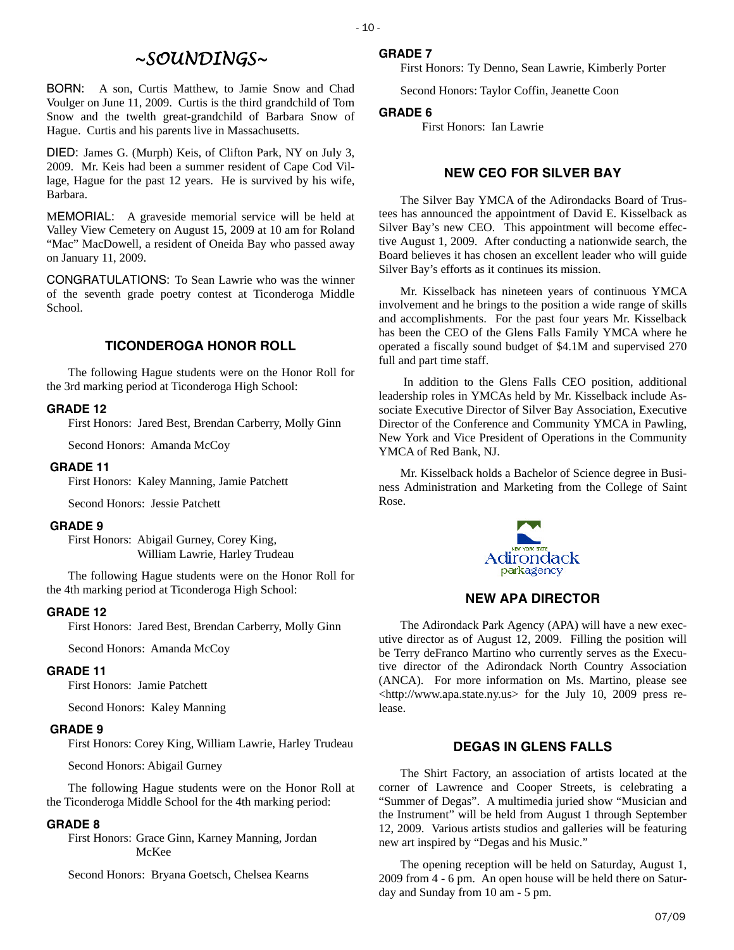# *~SOUNDINGS~*

 $-10$  -

BORN: A son, Curtis Matthew, to Jamie Snow and Chad Voulger on June 11, 2009. Curtis is the third grandchild of Tom Snow and the twelth great-grandchild of Barbara Snow of Hague. Curtis and his parents live in Massachusetts.

DIED: James G. (Murph) Keis, of Clifton Park, NY on July 3, 2009. Mr. Keis had been a summer resident of Cape Cod Village, Hague for the past 12 years. He is survived by his wife, Barbara.

MEMORIAL: A graveside memorial service will be held at Valley View Cemetery on August 15, 2009 at 10 am for Roland "Mac" MacDowell, a resident of Oneida Bay who passed away on January 11, 2009.

CONGRATULATIONS: To Sean Lawrie who was the winner of the seventh grade poetry contest at Ticonderoga Middle School.

# **TICONDEROGA HONOR ROLL**

The following Hague students were on the Honor Roll for the 3rd marking period at Ticonderoga High School:

#### **GRADE 12**

First Honors: Jared Best, Brendan Carberry, Molly Ginn

Second Honors: Amanda McCoy

#### **GRADE 11**

First Honors: Kaley Manning, Jamie Patchett

Second Honors: Jessie Patchett

#### **GRADE 9**

First Honors: Abigail Gurney, Corey King, William Lawrie, Harley Trudeau

The following Hague students were on the Honor Roll for the 4th marking period at Ticonderoga High School:

#### **GRADE 12**

First Honors: Jared Best, Brendan Carberry, Molly Ginn

Second Honors: Amanda McCoy

#### **GRADE 11**

First Honors: Jamie Patchett

Second Honors: Kaley Manning

#### **GRADE 9**

First Honors: Corey King, William Lawrie, Harley Trudeau

Second Honors: Abigail Gurney

The following Hague students were on the Honor Roll at the Ticonderoga Middle School for the 4th marking period:

#### **GRADE 8**

First Honors: Grace Ginn, Karney Manning, Jordan McKee

Second Honors: Bryana Goetsch, Chelsea Kearns

First Honors: Ty Denno, Sean Lawrie, Kimberly Porter

Second Honors: Taylor Coffin, Jeanette Coon

#### **GRADE 6**

First Honors: Ian Lawrie

# **NEW CEO FOR SILVER BAY**

The Silver Bay YMCA of the Adirondacks Board of Trustees has announced the appointment of David E. Kisselback as Silver Bay's new CEO. This appointment will become effective August 1, 2009. After conducting a nationwide search, the Board believes it has chosen an excellent leader who will guide Silver Bay's efforts as it continues its mission.

Mr. Kisselback has nineteen years of continuous YMCA involvement and he brings to the position a wide range of skills and accomplishments. For the past four years Mr. Kisselback has been the CEO of the Glens Falls Family YMCA where he operated a fiscally sound budget of \$4.1M and supervised 270 full and part time staff.

 In addition to the Glens Falls CEO position, additional leadership roles in YMCAs held by Mr. Kisselback include Associate Executive Director of Silver Bay Association, Executive Director of the Conference and Community YMCA in Pawling, New York and Vice President of Operations in the Community YMCA of Red Bank, NJ.

Mr. Kisselback holds a Bachelor of Science degree in Business Administration and Marketing from the College of Saint Rose.



#### **NEW APA DIRECTOR**

The Adirondack Park Agency (APA) will have a new executive director as of August 12, 2009. Filling the position will be Terry deFranco Martino who currently serves as the Executive director of the Adirondack North Country Association (ANCA). For more information on Ms. Martino, please see  $\lt$ http://www.apa.state.ny.us> for the July 10, 2009 press release.

# **DEGAS IN GLENS FALLS**

The Shirt Factory, an association of artists located at the corner of Lawrence and Cooper Streets, is celebrating a "Summer of Degas". A multimedia juried show "Musician and the Instrument" will be held from August 1 through September 12, 2009. Various artists studios and galleries will be featuring new art inspired by "Degas and his Music."

The opening reception will be held on Saturday, August 1, 2009 from 4 - 6 pm. An open house will be held there on Saturday and Sunday from 10 am - 5 pm.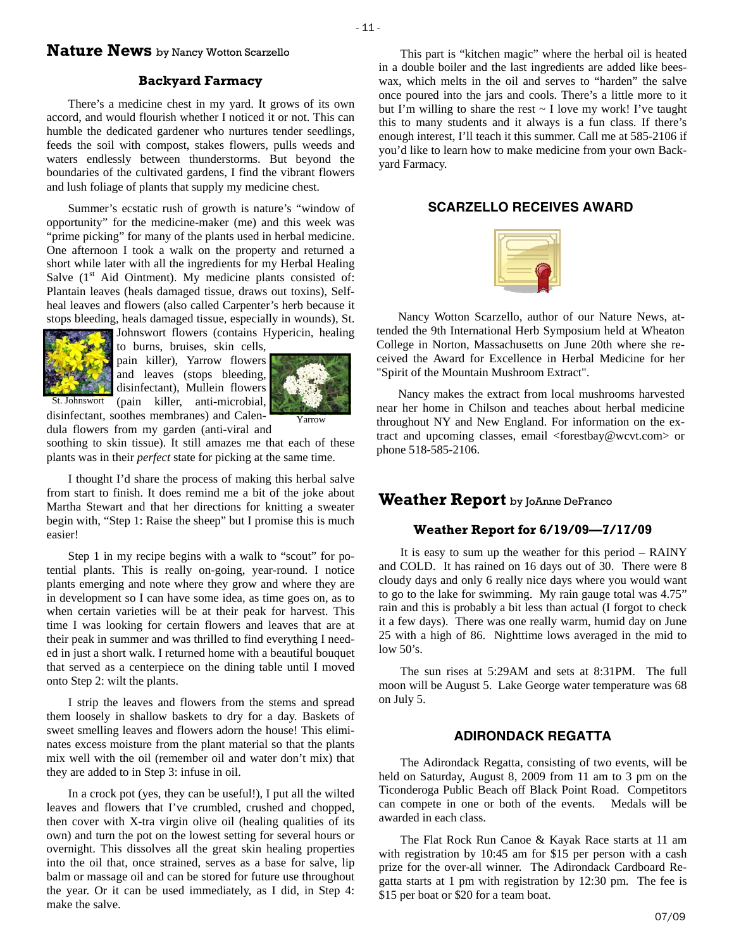# **Nature News** by Nancy Wotton Scarzello

#### **Backyard Farmacy**

 $-11$  -

There's a medicine chest in my yard. It grows of its own accord, and would flourish whether I noticed it or not. This can humble the dedicated gardener who nurtures tender seedlings, feeds the soil with compost, stakes flowers, pulls weeds and waters endlessly between thunderstorms. But beyond the boundaries of the cultivated gardens, I find the vibrant flowers and lush foliage of plants that supply my medicine chest.

Summer's ecstatic rush of growth is nature's "window of opportunity" for the medicine-maker (me) and this week was "prime picking" for many of the plants used in herbal medicine. One afternoon I took a walk on the property and returned a short while later with all the ingredients for my Herbal Healing Salve  $(1<sup>st</sup>$  Aid Ointment). My medicine plants consisted of: Plantain leaves (heals damaged tissue, draws out toxins), Selfheal leaves and flowers (also called Carpenter's herb because it stops bleeding, heals damaged tissue, especially in wounds), St. Johnswort flowers (contains Hypericin, healing



to burns, bruises, skin cells, pain killer), Yarrow flowers and leaves (stops bleeding, disinfectant), Mullein flowers (pain killer, anti-microbial, St. Johnswort



disinfectant, soothes membranes) and Calendula flowers from my garden (anti-viral and

soothing to skin tissue). It still amazes me that each of these plants was in their *perfect* state for picking at the same time.

I thought I'd share the process of making this herbal salve from start to finish. It does remind me a bit of the joke about Martha Stewart and that her directions for knitting a sweater begin with, "Step 1: Raise the sheep" but I promise this is much easier!

Step 1 in my recipe begins with a walk to "scout" for potential plants. This is really on-going, year-round. I notice plants emerging and note where they grow and where they are in development so I can have some idea, as time goes on, as to when certain varieties will be at their peak for harvest. This time I was looking for certain flowers and leaves that are at their peak in summer and was thrilled to find everything I needed in just a short walk. I returned home with a beautiful bouquet that served as a centerpiece on the dining table until I moved onto Step 2: wilt the plants.

I strip the leaves and flowers from the stems and spread them loosely in shallow baskets to dry for a day. Baskets of sweet smelling leaves and flowers adorn the house! This eliminates excess moisture from the plant material so that the plants mix well with the oil (remember oil and water don't mix) that they are added to in Step 3: infuse in oil.

In a crock pot (yes, they can be useful!), I put all the wilted leaves and flowers that I've crumbled, crushed and chopped, then cover with X-tra virgin olive oil (healing qualities of its own) and turn the pot on the lowest setting for several hours or overnight. This dissolves all the great skin healing properties into the oil that, once strained, serves as a base for salve, lip balm or massage oil and can be stored for future use throughout the year. Or it can be used immediately, as I did, in Step 4: make the salve.

This part is "kitchen magic" where the herbal oil is heated in a double boiler and the last ingredients are added like beeswax, which melts in the oil and serves to "harden" the salve once poured into the jars and cools. There's a little more to it but I'm willing to share the rest  $\sim$  I love my work! I've taught this to many students and it always is a fun class. If there's enough interest, I'll teach it this summer. Call me at 585-2106 if you'd like to learn how to make medicine from your own Backyard Farmacy.

# **SCARZELLO RECEIVES AWARD**



Nancy Wotton Scarzello, author of our Nature News, attended the 9th International Herb Symposium held at Wheaton College in Norton, Massachusetts on June 20th where she received the Award for Excellence in Herbal Medicine for her "Spirit of the Mountain Mushroom Extract".

Nancy makes the extract from local mushrooms harvested near her home in Chilson and teaches about herbal medicine throughout NY and New England. For information on the extract and upcoming classes, email <forestbay@wcvt.com> or phone 518-585-2106.

# **Weather Report** by JoAnne DeFranco

## **Weather Report for 6/19/09—7/17/09**

It is easy to sum up the weather for this period – RAINY and COLD. It has rained on 16 days out of 30. There were 8 cloudy days and only 6 really nice days where you would want to go to the lake for swimming. My rain gauge total was 4.75" rain and this is probably a bit less than actual (I forgot to check it a few days). There was one really warm, humid day on June 25 with a high of 86. Nighttime lows averaged in the mid to  $low 50's.$ 

The sun rises at 5:29AM and sets at 8:31PM. The full moon will be August 5. Lake George water temperature was 68 on July 5.

# **ADIRONDACK REGATTA**

The Adirondack Regatta, consisting of two events, will be held on Saturday, August 8, 2009 from 11 am to 3 pm on the Ticonderoga Public Beach off Black Point Road. Competitors can compete in one or both of the events. Medals will be awarded in each class.

The Flat Rock Run Canoe & Kayak Race starts at 11 am with registration by 10:45 am for \$15 per person with a cash prize for the over-all winner. The Adirondack Cardboard Regatta starts at 1 pm with registration by 12:30 pm. The fee is \$15 per boat or \$20 for a team boat.